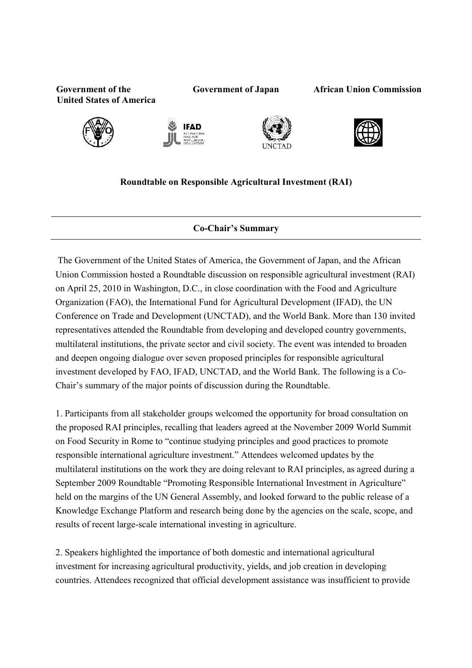**Government of the United States of America** 

**Government of Japan African Union Commission** 









## **Roundtable on Responsible Agricultural Investment (RAI)**

## **Co-Chair's Summary**

 The Government of the United States of America, the Government of Japan, and the African Union Commission hosted a Roundtable discussion on responsible agricultural investment (RAI) on April 25, 2010 in Washington, D.C., in close coordination with the Food and Agriculture Organization (FAO), the International Fund for Agricultural Development (IFAD), the UN Conference on Trade and Development (UNCTAD), and the World Bank. More than 130 invited representatives attended the Roundtable from developing and developed country governments, multilateral institutions, the private sector and civil society. The event was intended to broaden and deepen ongoing dialogue over seven proposed principles for responsible agricultural investment developed by FAO, IFAD, UNCTAD, and the World Bank. The following is a Co-Chair's summary of the major points of discussion during the Roundtable.

1. Participants from all stakeholder groups welcomed the opportunity for broad consultation on the proposed RAI principles, recalling that leaders agreed at the November 2009 World Summit on Food Security in Rome to "continue studying principles and good practices to promote responsible international agriculture investment." Attendees welcomed updates by the multilateral institutions on the work they are doing relevant to RAI principles, as agreed during a September 2009 Roundtable "Promoting Responsible International Investment in Agriculture" held on the margins of the UN General Assembly, and looked forward to the public release of a Knowledge Exchange Platform and research being done by the agencies on the scale, scope, and results of recent large-scale international investing in agriculture.

2. Speakers highlighted the importance of both domestic and international agricultural investment for increasing agricultural productivity, yields, and job creation in developing countries. Attendees recognized that official development assistance was insufficient to provide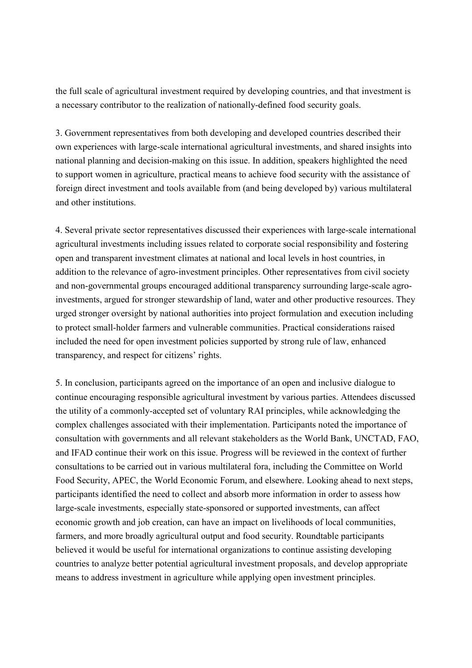the full scale of agricultural investment required by developing countries, and that investment is a necessary contributor to the realization of nationally-defined food security goals.

3. Government representatives from both developing and developed countries described their own experiences with large-scale international agricultural investments, and shared insights into national planning and decision-making on this issue. In addition, speakers highlighted the need to support women in agriculture, practical means to achieve food security with the assistance of foreign direct investment and tools available from (and being developed by) various multilateral and other institutions.

4. Several private sector representatives discussed their experiences with large-scale international agricultural investments including issues related to corporate social responsibility and fostering open and transparent investment climates at national and local levels in host countries, in addition to the relevance of agro-investment principles. Other representatives from civil society and non-governmental groups encouraged additional transparency surrounding large-scale agroinvestments, argued for stronger stewardship of land, water and other productive resources. They urged stronger oversight by national authorities into project formulation and execution including to protect small-holder farmers and vulnerable communities. Practical considerations raised included the need for open investment policies supported by strong rule of law, enhanced transparency, and respect for citizens' rights.

5. In conclusion, participants agreed on the importance of an open and inclusive dialogue to continue encouraging responsible agricultural investment by various parties. Attendees discussed the utility of a commonly-accepted set of voluntary RAI principles, while acknowledging the complex challenges associated with their implementation. Participants noted the importance of consultation with governments and all relevant stakeholders as the World Bank, UNCTAD, FAO, and IFAD continue their work on this issue. Progress will be reviewed in the context of further consultations to be carried out in various multilateral fora, including the Committee on World Food Security, APEC, the World Economic Forum, and elsewhere. Looking ahead to next steps, participants identified the need to collect and absorb more information in order to assess how large-scale investments, especially state-sponsored or supported investments, can affect economic growth and job creation, can have an impact on livelihoods of local communities, farmers, and more broadly agricultural output and food security. Roundtable participants believed it would be useful for international organizations to continue assisting developing countries to analyze better potential agricultural investment proposals, and develop appropriate means to address investment in agriculture while applying open investment principles.